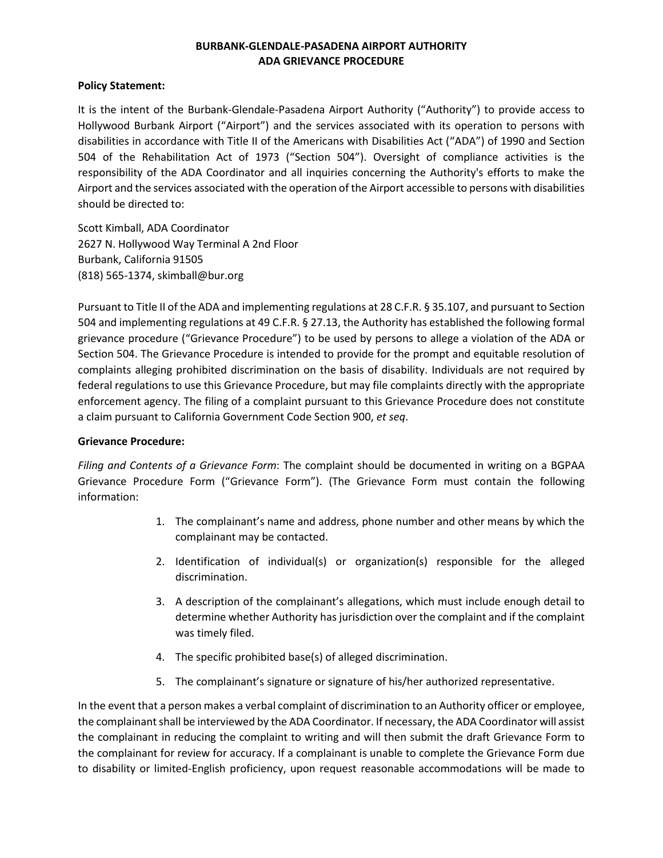## **BURBANK-GLENDALE-PASADENA AIRPORT AUTHORITY ADA GRIEVANCE PROCEDURE**

## **Policy Statement:**

It is the intent of the Burbank-Glendale-Pasadena Airport Authority ("Authority") to provide access to Hollywood Burbank Airport ("Airport") and the services associated with its operation to persons with disabilities in accordance with Title II of the Americans with Disabilities Act ("ADA") of 1990 and Section 504 of the Rehabilitation Act of 1973 ("Section 504"). Oversight of compliance activities is the responsibility of the ADA Coordinator and all inquiries concerning the Authority's efforts to make the Airport and the services associated with the operation of the Airport accessible to persons with disabilities should be directed to:

Scott Kimball, ADA Coordinator 2627 N. Hollywood Way Terminal A 2nd Floor Burbank, California 91505 (818) 565-1374, skimball@bur.org

Pursuant to Title II of the ADA and implementing regulations at 28 C.F.R. § 35.107, and pursuant to Section 504 and implementing regulations at 49 C.F.R. § 27.13, the Authority has established the following formal grievance procedure ("Grievance Procedure") to be used by persons to allege a violation of the ADA or Section 504. The Grievance Procedure is intended to provide for the prompt and equitable resolution of complaints alleging prohibited discrimination on the basis of disability. Individuals are not required by federal regulations to use this Grievance Procedure, but may file complaints directly with the appropriate enforcement agency. The filing of a complaint pursuant to this Grievance Procedure does not constitute a claim pursuant to California Government Code Section 900, *et seq*.

## **Grievance Procedure:**

*Filing and Contents of a Grievance Form*: The complaint should be documented in writing on a BGPAA Grievance Procedure Form ("Grievance Form"). (The Grievance Form must contain the following information:

- 1. The complainant's name and address, phone number and other means by which the complainant may be contacted.
- 2. Identification of individual(s) or organization(s) responsible for the alleged discrimination.
- 3. A description of the complainant's allegations, which must include enough detail to determine whether Authority has jurisdiction over the complaint and if the complaint was timely filed.
- 4. The specific prohibited base(s) of alleged discrimination.
- 5. The complainant's signature or signature of his/her authorized representative.

In the event that a person makes a verbal complaint of discrimination to an Authority officer or employee, the complainant shall be interviewed by the ADA Coordinator. If necessary, the ADA Coordinator will assist the complainant in reducing the complaint to writing and will then submit the draft Grievance Form to the complainant for review for accuracy. If a complainant is unable to complete the Grievance Form due to disability or limited-English proficiency, upon request reasonable accommodations will be made to